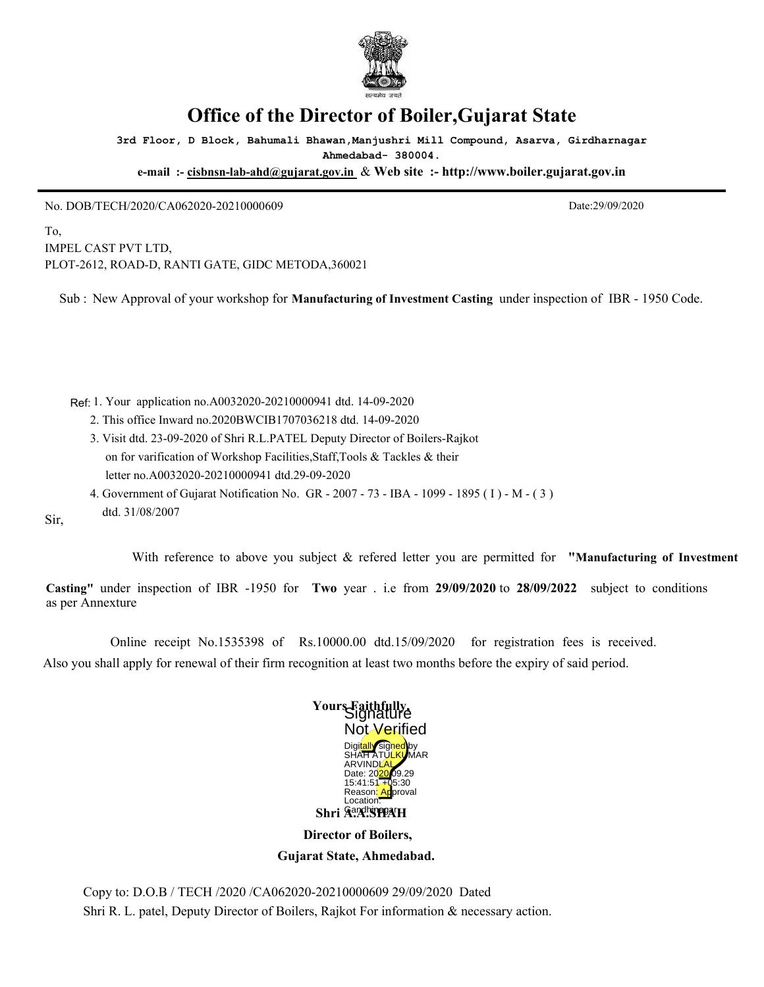

## **Office of the Director of Boiler,Gujarat State**

**3rd Floor, D Block, Bahumali Bhawan,Manjushri Mill Compound, Asarva, Girdharnagar Ahmedabad- 380004.**

**e-mail :- cisbnsn-lab-ahd@gujarat.gov.in** & **Web site :- http://www.boiler.gujarat.gov.in**

No. DOB/TECH/2020/CA062020-20210000609 Date:29/09/2020

dtd. 31/08/2007

To, IMPEL CAST PVT LTD, PLOT-2612, ROAD-D, RANTI GATE, GIDC METODA,360021

Sub : New Approval of your workshop for **Manufacturing of Investment Casting** under inspection of IBR - 1950 Code.

1. Your application no.A0032020-20210000941 dtd. 14-09-2020 Ref:

- 2. This office Inward no.2020BWCIB1707036218 dtd. 14-09-2020
- 3. Visit dtd. 23-09-2020 of Shri R.L.PATEL Deputy Director of Boilers-Rajkot on for varification of Workshop Facilities,Staff,Tools & Tackles & their letter no.A0032020-20210000941 dtd.29-09-2020
- 4. Government of Gujarat Notification No. GR 2007 73 IBA 1099 1895 ( I ) M ( 3 )

Sir,

With reference to above you subject & refered letter you are permitted for **"Manufacturing of Investment**

**Casting"** under inspection of IBR -1950 for **Two** year . i.e from **29/09/2020** to **28/09/2022** subject to conditions as per Annexture

 Online receipt No.1535398 of Rs.10000.00 dtd.15/09/2020 for registration fees is received. Also you shall apply for renewal of their firm recognition at least two months before the expiry of said period.



 **Director of Boilers, Gujarat State, Ahmedabad.**

Copy to: D.O.B / TECH /2020 /CA062020-20210000609 29/09/2020 Dated Shri R. L. patel, Deputy Director of Boilers, Rajkot For information & necessary action.